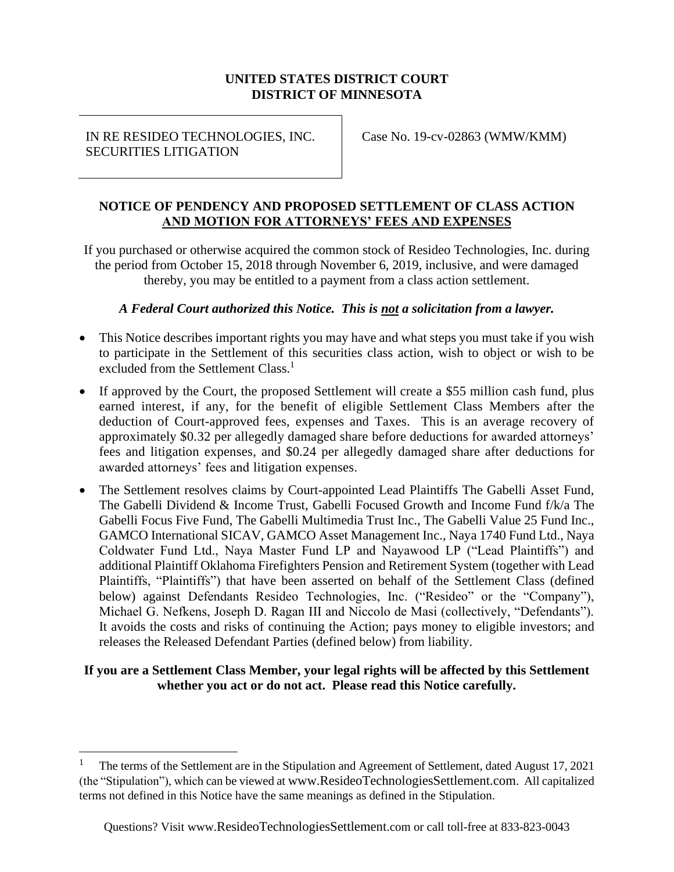#### **UNITED STATES DISTRICT COURT DISTRICT OF MINNESOTA**

IN RE RESIDEO TECHNOLOGIES, INC. SECURITIES LITIGATION

Case No. 19-cv-02863 (WMW/KMM)

#### **NOTICE OF PENDENCY AND PROPOSED SETTLEMENT OF CLASS ACTION AND MOTION FOR ATTORNEYS' FEES AND EXPENSES**

If you purchased or otherwise acquired the common stock of Resideo Technologies, Inc. during the period from October 15, 2018 through November 6, 2019, inclusive, and were damaged thereby, you may be entitled to a payment from a class action settlement.

#### *A Federal Court authorized this Notice. This is not a solicitation from a lawyer.*

- This Notice describes important rights you may have and what steps you must take if you wish to participate in the Settlement of this securities class action, wish to object or wish to be excluded from the Settlement Class.<sup>1</sup>
- If approved by the Court, the proposed Settlement will create a \$55 million cash fund, plus earned interest, if any, for the benefit of eligible Settlement Class Members after the deduction of Court-approved fees, expenses and Taxes. This is an average recovery of approximately \$0.32 per allegedly damaged share before deductions for awarded attorneys' fees and litigation expenses, and \$0.24 per allegedly damaged share after deductions for awarded attorneys' fees and litigation expenses.
- The Settlement resolves claims by Court-appointed Lead Plaintiffs The Gabelli Asset Fund, The Gabelli Dividend & Income Trust, Gabelli Focused Growth and Income Fund f/k/a The Gabelli Focus Five Fund, The Gabelli Multimedia Trust Inc., The Gabelli Value 25 Fund Inc., GAMCO International SICAV, GAMCO Asset Management Inc., Naya 1740 Fund Ltd., Naya Coldwater Fund Ltd., Naya Master Fund LP and Nayawood LP ("Lead Plaintiffs") and additional Plaintiff Oklahoma Firefighters Pension and Retirement System (together with Lead Plaintiffs, "Plaintiffs") that have been asserted on behalf of the Settlement Class (defined below) against Defendants Resideo Technologies, Inc. ("Resideo" or the "Company"), Michael G. Nefkens, Joseph D. Ragan III and Niccolo de Masi (collectively, "Defendants"). It avoids the costs and risks of continuing the Action; pays money to eligible investors; and releases the Released Defendant Parties (defined below) from liability.

#### **If you are a Settlement Class Member, your legal rights will be affected by this Settlement whether you act or do not act. Please read this Notice carefully.**

<sup>1</sup> The terms of the Settlement are in the Stipulation and Agreement of Settlement, dated August 17, 2021 (the "Stipulation"), which can be viewed at [www.ResideoTechnologiesSettlement.com](https://nam11.safelinks.protection.outlook.com/?url=http%3A%2F%2Fwww.resideotechnologiessettlement.com%2F&data=04%7C01%7Cjenn.ventriglia%40jndla.com%7Ccdb3f3a09b434d54f8b808d961d03fdc%7Cb9f74a4089a449e899697842c4748a82%7C0%7C0%7C637648369327123152%7CUnknown%7CTWFpbGZsb3d8eyJWIjoiMC4wLjAwMDAiLCJQIjoiV2luMzIiLCJBTiI6Ik1haWwiLCJXVCI6Mn0%3D%7C1000&sdata=va8BDAcd02sY73IDXBTkaa9LZFWZUZgW6ulV7NygimA%3D&reserved=0). All capitalized terms not defined in this Notice have the same meanings as defined in the Stipulation.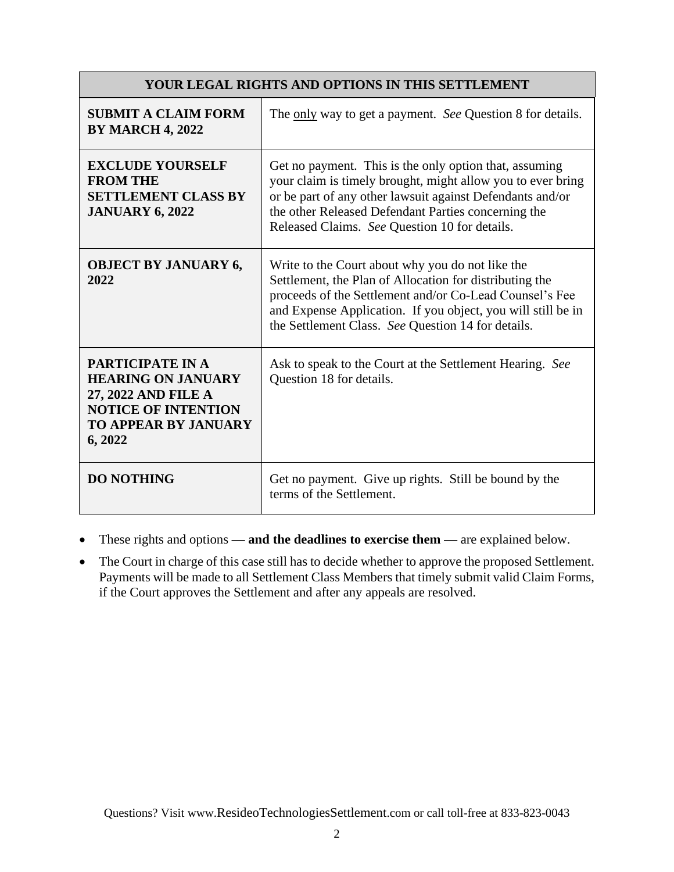| <b>YOUR LEGAL RIGHTS AND OPTIONS IN THIS SETTLEMENT</b>                                                                                      |                                                                                                                                                                                                                                                                                              |  |  |  |
|----------------------------------------------------------------------------------------------------------------------------------------------|----------------------------------------------------------------------------------------------------------------------------------------------------------------------------------------------------------------------------------------------------------------------------------------------|--|--|--|
| <b>SUBMIT A CLAIM FORM</b><br><b>BY MARCH 4, 2022</b>                                                                                        | The only way to get a payment. See Question 8 for details.                                                                                                                                                                                                                                   |  |  |  |
| <b>EXCLUDE YOURSELF</b><br><b>FROM THE</b><br><b>SETTLEMENT CLASS BY</b><br><b>JANUARY 6, 2022</b>                                           | Get no payment. This is the only option that, assuming<br>your claim is timely brought, might allow you to ever bring<br>or be part of any other lawsuit against Defendants and/or<br>the other Released Defendant Parties concerning the<br>Released Claims. See Question 10 for details.   |  |  |  |
| <b>OBJECT BY JANUARY 6,</b><br>2022                                                                                                          | Write to the Court about why you do not like the<br>Settlement, the Plan of Allocation for distributing the<br>proceeds of the Settlement and/or Co-Lead Counsel's Fee<br>and Expense Application. If you object, you will still be in<br>the Settlement Class. See Question 14 for details. |  |  |  |
| PARTICIPATE IN A<br><b>HEARING ON JANUARY</b><br>27, 2022 AND FILE A<br><b>NOTICE OF INTENTION</b><br><b>TO APPEAR BY JANUARY</b><br>6, 2022 | Ask to speak to the Court at the Settlement Hearing. See<br>Question 18 for details.                                                                                                                                                                                                         |  |  |  |
| <b>DO NOTHING</b>                                                                                                                            | Get no payment. Give up rights. Still be bound by the<br>terms of the Settlement.                                                                                                                                                                                                            |  |  |  |

- These rights and options  **and the deadlines to exercise them** are explained below.
- The Court in charge of this case still has to decide whether to approve the proposed Settlement. Payments will be made to all Settlement Class Members that timely submit valid Claim Forms, if the Court approves the Settlement and after any appeals are resolved.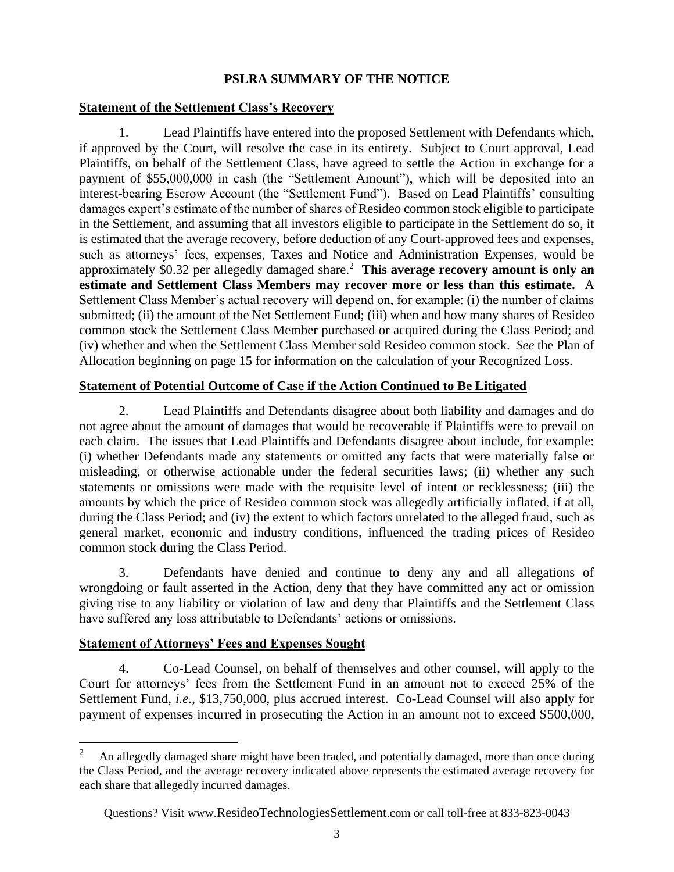## **PSLRA SUMMARY OF THE NOTICE**

#### **Statement of the Settlement Class's Recovery**

1. Lead Plaintiffs have entered into the proposed Settlement with Defendants which, if approved by the Court, will resolve the case in its entirety. Subject to Court approval, Lead Plaintiffs, on behalf of the Settlement Class, have agreed to settle the Action in exchange for a payment of \$55,000,000 in cash (the "Settlement Amount"), which will be deposited into an interest-bearing Escrow Account (the "Settlement Fund"). Based on Lead Plaintiffs' consulting damages expert's estimate of the number of shares of Resideo common stock eligible to participate in the Settlement, and assuming that all investors eligible to participate in the Settlement do so, it is estimated that the average recovery, before deduction of any Court-approved fees and expenses, such as attorneys' fees, expenses, Taxes and Notice and Administration Expenses, would be approximately \$0.32 per allegedly damaged share.<sup>2</sup> **This average recovery amount is only an estimate and Settlement Class Members may recover more or less than this estimate.** A Settlement Class Member's actual recovery will depend on, for example: (i) the number of claims submitted; (ii) the amount of the Net Settlement Fund; (iii) when and how many shares of Resideo common stock the Settlement Class Member purchased or acquired during the Class Period; and (iv) whether and when the Settlement Class Member sold Resideo common stock. *See* the Plan of Allocation beginning on page 15 for information on the calculation of your Recognized Loss.

#### **Statement of Potential Outcome of Case if the Action Continued to Be Litigated**

2. Lead Plaintiffs and Defendants disagree about both liability and damages and do not agree about the amount of damages that would be recoverable if Plaintiffs were to prevail on each claim. The issues that Lead Plaintiffs and Defendants disagree about include, for example: (i) whether Defendants made any statements or omitted any facts that were materially false or misleading, or otherwise actionable under the federal securities laws; (ii) whether any such statements or omissions were made with the requisite level of intent or recklessness; (iii) the amounts by which the price of Resideo common stock was allegedly artificially inflated, if at all, during the Class Period; and (iv) the extent to which factors unrelated to the alleged fraud, such as general market, economic and industry conditions, influenced the trading prices of Resideo common stock during the Class Period.

3. Defendants have denied and continue to deny any and all allegations of wrongdoing or fault asserted in the Action, deny that they have committed any act or omission giving rise to any liability or violation of law and deny that Plaintiffs and the Settlement Class have suffered any loss attributable to Defendants' actions or omissions.

#### **Statement of Attorneys' Fees and Expenses Sought**

4. Co-Lead Counsel, on behalf of themselves and other counsel, will apply to the Court for attorneys' fees from the Settlement Fund in an amount not to exceed 25% of the Settlement Fund, *i.e.*, \$13,750,000, plus accrued interest. Co-Lead Counsel will also apply for payment of expenses incurred in prosecuting the Action in an amount not to exceed \$500,000,

<sup>2</sup> An allegedly damaged share might have been traded, and potentially damaged, more than once during the Class Period, and the average recovery indicated above represents the estimated average recovery for each share that allegedly incurred damages.

Questions? Visit www.[ResideoTechnologiesSettlement](http://www._________________.com/).com or call toll-free at 833-823-0043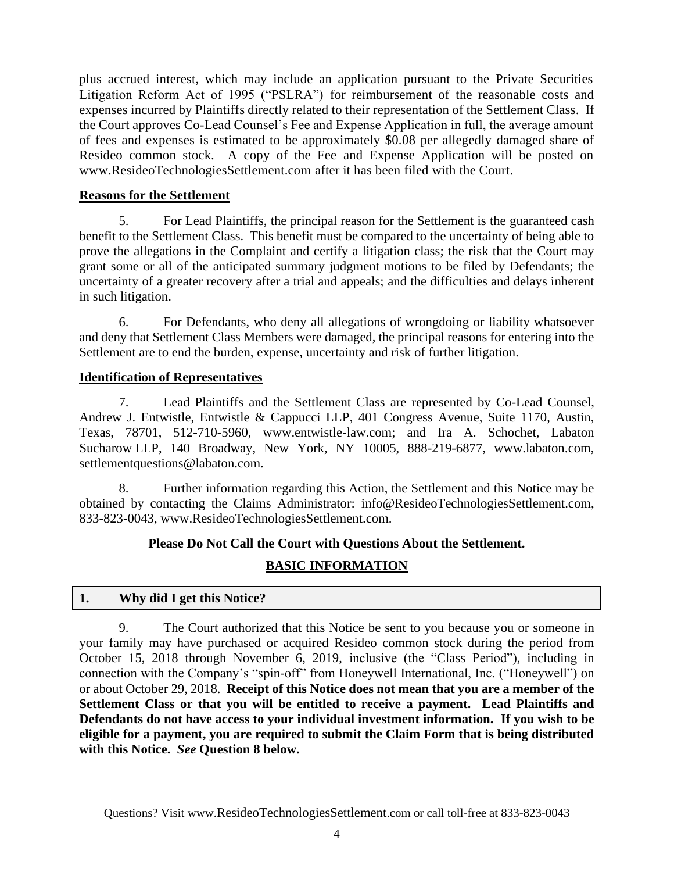plus accrued interest, which may include an application pursuant to the Private Securities Litigation Reform Act of 1995 ("PSLRA") for reimbursement of the reasonable costs and expenses incurred by Plaintiffs directly related to their representation of the Settlement Class. If the Court approves Co-Lead Counsel's Fee and Expense Application in full, the average amount of fees and expenses is estimated to be approximately \$0.08 per allegedly damaged share of Resideo common stock. A copy of the Fee and Expense Application will be posted on [www.ResideoTechnologiesSettlement.com](https://nam11.safelinks.protection.outlook.com/?url=http%3A%2F%2Fwww.resideotechnologiessettlement.com%2F&data=04%7C01%7Cjenn.ventriglia%40jndla.com%7Ccdb3f3a09b434d54f8b808d961d03fdc%7Cb9f74a4089a449e899697842c4748a82%7C0%7C0%7C637648369327123152%7CUnknown%7CTWFpbGZsb3d8eyJWIjoiMC4wLjAwMDAiLCJQIjoiV2luMzIiLCJBTiI6Ik1haWwiLCJXVCI6Mn0%3D%7C1000&sdata=va8BDAcd02sY73IDXBTkaa9LZFWZUZgW6ulV7NygimA%3D&reserved=0) after it has been filed with the Court.

## **Reasons for the Settlement**

5. For Lead Plaintiffs, the principal reason for the Settlement is the guaranteed cash benefit to the Settlement Class. This benefit must be compared to the uncertainty of being able to prove the allegations in the Complaint and certify a litigation class; the risk that the Court may grant some or all of the anticipated summary judgment motions to be filed by Defendants; the uncertainty of a greater recovery after a trial and appeals; and the difficulties and delays inherent in such litigation.

6. For Defendants, who deny all allegations of wrongdoing or liability whatsoever and deny that Settlement Class Members were damaged, the principal reasons for entering into the Settlement are to end the burden, expense, uncertainty and risk of further litigation.

#### **Identification of Representatives**

7. Lead Plaintiffs and the Settlement Class are represented by Co-Lead Counsel, Andrew J. Entwistle, Entwistle & Cappucci LLP, 401 Congress Avenue, Suite 1170, Austin, Texas, 78701, 512-710-5960, www.entwistle-law.com; and Ira A. Schochet, Labaton Sucharow LLP, 140 Broadway, New York, NY 10005, 888-219-6877, www.labaton.com, settlementquestions@labaton.com.

8. Further information regarding this Action, the Settlement and this Notice may be obtained by contacting the Claims Administrator: [info@ResideoTechnologiesSettlement.com,](mailto:info@ResideoTechnologiesSettlement.com) 833-823-0043, [www.ResideoTechnologiesSettlement.com.](https://nam11.safelinks.protection.outlook.com/?url=http%3A%2F%2Fwww.resideotechnologiessettlement.com%2F&data=04%7C01%7Cjenn.ventriglia%40jndla.com%7Ccdb3f3a09b434d54f8b808d961d03fdc%7Cb9f74a4089a449e899697842c4748a82%7C0%7C0%7C637648369327123152%7CUnknown%7CTWFpbGZsb3d8eyJWIjoiMC4wLjAwMDAiLCJQIjoiV2luMzIiLCJBTiI6Ik1haWwiLCJXVCI6Mn0%3D%7C1000&sdata=va8BDAcd02sY73IDXBTkaa9LZFWZUZgW6ulV7NygimA%3D&reserved=0)

## **Please Do Not Call the Court with Questions About the Settlement.**

# **BASIC INFORMATION**

## **1. Why did I get this Notice?**

9. The Court authorized that this Notice be sent to you because you or someone in your family may have purchased or acquired Resideo common stock during the period from October 15, 2018 through November 6, 2019, inclusive (the "Class Period"), including in connection with the Company's "spin-off" from Honeywell International, Inc. ("Honeywell") on or about October 29, 2018. **Receipt of this Notice does not mean that you are a member of the Settlement Class or that you will be entitled to receive a payment. Lead Plaintiffs and Defendants do not have access to your individual investment information. If you wish to be eligible for a payment, you are required to submit the Claim Form that is being distributed with this Notice.** *See* **Question 8 below.**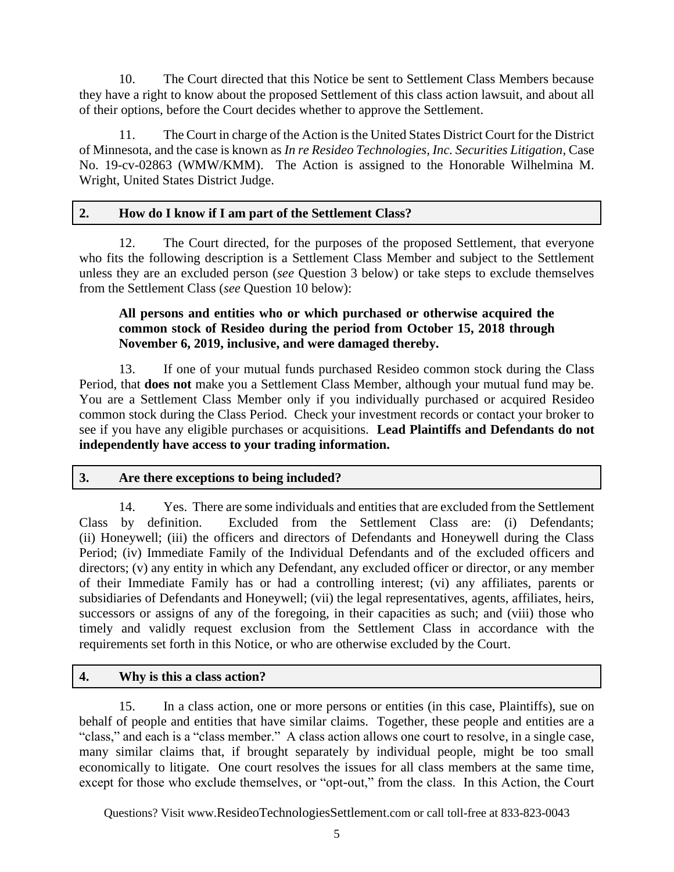10. The Court directed that this Notice be sent to Settlement Class Members because they have a right to know about the proposed Settlement of this class action lawsuit, and about all of their options, before the Court decides whether to approve the Settlement.

11. The Court in charge of the Action is the United States District Court for the District of Minnesota, and the case is known as *In re Resideo Technologies, Inc. Securities Litigation,* Case No. 19-cv-02863 (WMW/KMM). The Action is assigned to the Honorable Wilhelmina M. Wright, United States District Judge.

#### **2. How do I know if I am part of the Settlement Class?**

12. The Court directed, for the purposes of the proposed Settlement, that everyone who fits the following description is a Settlement Class Member and subject to the Settlement unless they are an excluded person (*see* Question 3 below) or take steps to exclude themselves from the Settlement Class (*see* Question 10 below):

#### **All persons and entities who or which purchased or otherwise acquired the common stock of Resideo during the period from October 15, 2018 through November 6, 2019, inclusive, and were damaged thereby.**

13. If one of your mutual funds purchased Resideo common stock during the Class Period, that **does not** make you a Settlement Class Member, although your mutual fund may be. You are a Settlement Class Member only if you individually purchased or acquired Resideo common stock during the Class Period. Check your investment records or contact your broker to see if you have any eligible purchases or acquisitions. **Lead Plaintiffs and Defendants do not independently have access to your trading information.**

## **3. Are there exceptions to being included?**

14. Yes. There are some individuals and entities that are excluded from the Settlement Class by definition. Excluded from the Settlement Class are: (i) Defendants; (ii) Honeywell; (iii) the officers and directors of Defendants and Honeywell during the Class Period; (iv) Immediate Family of the Individual Defendants and of the excluded officers and directors; (v) any entity in which any Defendant, any excluded officer or director, or any member of their Immediate Family has or had a controlling interest; (vi) any affiliates, parents or subsidiaries of Defendants and Honeywell; (vii) the legal representatives, agents, affiliates, heirs, successors or assigns of any of the foregoing, in their capacities as such; and (viii) those who timely and validly request exclusion from the Settlement Class in accordance with the requirements set forth in this Notice, or who are otherwise excluded by the Court.

## **4. Why is this a class action?**

15. In a class action, one or more persons or entities (in this case, Plaintiffs), sue on behalf of people and entities that have similar claims. Together, these people and entities are a "class," and each is a "class member." A class action allows one court to resolve, in a single case, many similar claims that, if brought separately by individual people, might be too small economically to litigate. One court resolves the issues for all class members at the same time, except for those who exclude themselves, or "opt-out," from the class. In this Action, the Court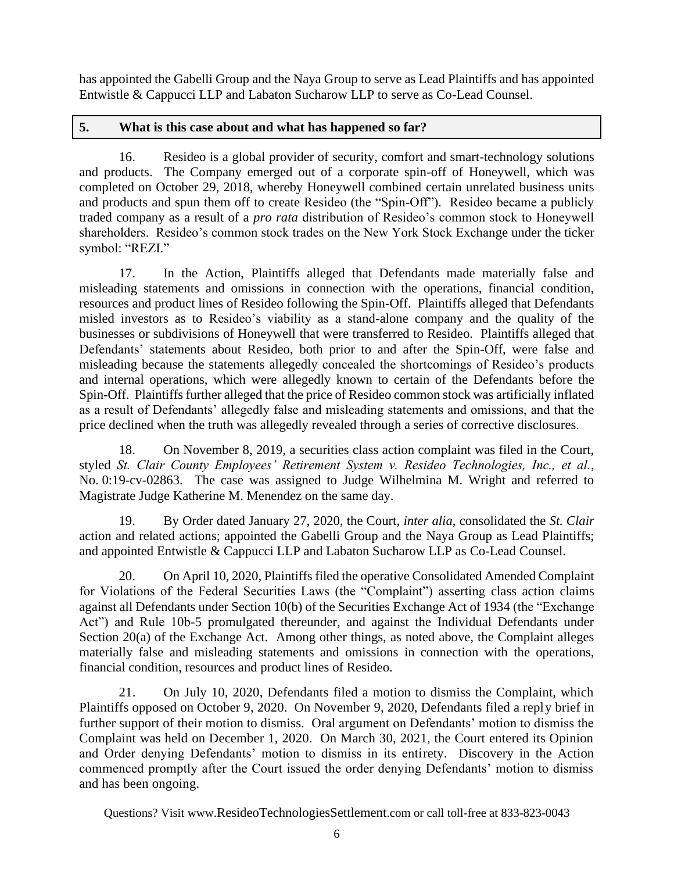has appointed the Gabelli Group and the Naya Group to serve as Lead Plaintiffs and has appointed Entwistle & Cappucci LLP and Labaton Sucharow LLP to serve as Co-Lead Counsel.

## **5. What is this case about and what has happened so far?**

16. Resideo is a global provider of security, comfort and smart-technology solutions and products. The Company emerged out of a corporate spin-off of Honeywell, which was completed on October 29, 2018, whereby Honeywell combined certain unrelated business units and products and spun them off to create Resideo (the "Spin-Off"). Resideo became a publicly traded company as a result of a *pro rata* distribution of Resideo's common stock to Honeywell shareholders. Resideo's common stock trades on the New York Stock Exchange under the ticker symbol: "REZI."

17. In the Action, Plaintiffs alleged that Defendants made materially false and misleading statements and omissions in connection with the operations, financial condition, resources and product lines of Resideo following the Spin-Off. Plaintiffs alleged that Defendants misled investors as to Resideo's viability as a stand-alone company and the quality of the businesses or subdivisions of Honeywell that were transferred to Resideo. Plaintiffs alleged that Defendants' statements about Resideo, both prior to and after the Spin-Off, were false and misleading because the statements allegedly concealed the shortcomings of Resideo's products and internal operations, which were allegedly known to certain of the Defendants before the Spin-Off. Plaintiffs further alleged that the price of Resideo common stock was artificially inflated as a result of Defendants' allegedly false and misleading statements and omissions, and that the price declined when the truth was allegedly revealed through a series of corrective disclosures.

18. On November 8, 2019, a securities class action complaint was filed in the Court, styled *St. Clair County Employees' Retirement System v. Resideo Technologies, Inc., et al.*, No. 0:19-cv-02863. The case was assigned to Judge Wilhelmina M. Wright and referred to Magistrate Judge Katherine M. Menendez on the same day.

19. By Order dated January 27, 2020, the Court, *inter alia*, consolidated the *St. Clair*  action and related actions; appointed the Gabelli Group and the Naya Group as Lead Plaintiffs; and appointed Entwistle & Cappucci LLP and Labaton Sucharow LLP as Co-Lead Counsel.

20. On April 10, 2020, Plaintiffs filed the operative Consolidated Amended Complaint for Violations of the Federal Securities Laws (the "Complaint") asserting class action claims against all Defendants under Section 10(b) of the Securities Exchange Act of 1934 (the "Exchange Act") and Rule 10b-5 promulgated thereunder, and against the Individual Defendants under Section 20(a) of the Exchange Act. Among other things, as noted above, the Complaint alleges materially false and misleading statements and omissions in connection with the operations, financial condition, resources and product lines of Resideo.

21. On July 10, 2020, Defendants filed a motion to dismiss the Complaint, which Plaintiffs opposed on October 9, 2020. On November 9, 2020, Defendants filed a reply brief in further support of their motion to dismiss. Oral argument on Defendants' motion to dismiss the Complaint was held on December 1, 2020. On March 30, 2021, the Court entered its Opinion and Order denying Defendants' motion to dismiss in its entirety. Discovery in the Action commenced promptly after the Court issued the order denying Defendants' motion to dismiss and has been ongoing.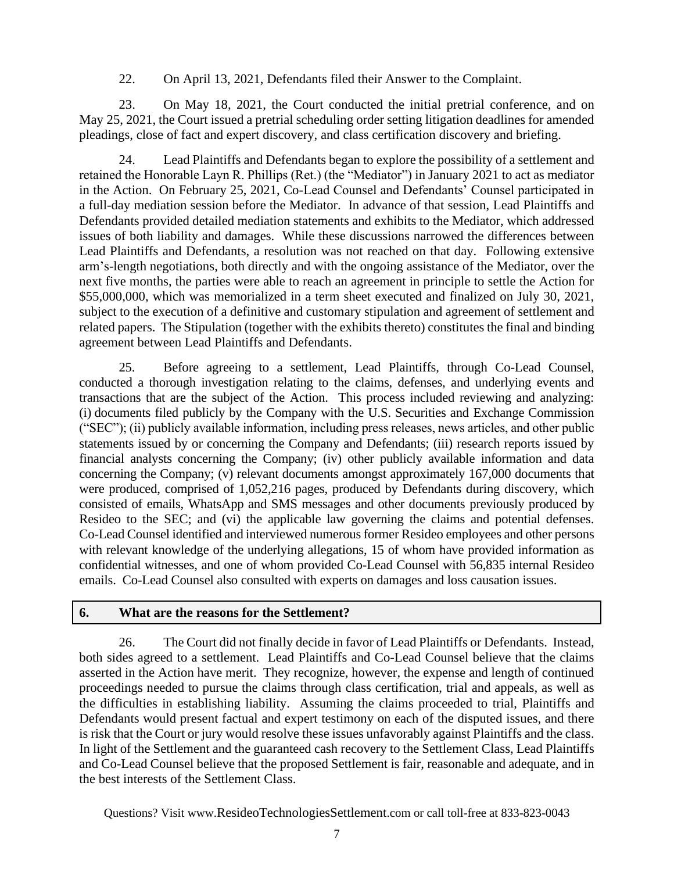22. On April 13, 2021, Defendants filed their Answer to the Complaint.

23. On May 18, 2021, the Court conducted the initial pretrial conference, and on May 25, 2021, the Court issued a pretrial scheduling order setting litigation deadlines for amended pleadings, close of fact and expert discovery, and class certification discovery and briefing.

24. Lead Plaintiffs and Defendants began to explore the possibility of a settlement and retained the Honorable Layn R. Phillips (Ret.) (the "Mediator") in January 2021 to act as mediator in the Action. On February 25, 2021, Co-Lead Counsel and Defendants' Counsel participated in a full-day mediation session before the Mediator. In advance of that session, Lead Plaintiffs and Defendants provided detailed mediation statements and exhibits to the Mediator, which addressed issues of both liability and damages. While these discussions narrowed the differences between Lead Plaintiffs and Defendants, a resolution was not reached on that day. Following extensive arm's-length negotiations, both directly and with the ongoing assistance of the Mediator, over the next five months, the parties were able to reach an agreement in principle to settle the Action for \$55,000,000, which was memorialized in a term sheet executed and finalized on July 30, 2021, subject to the execution of a definitive and customary stipulation and agreement of settlement and related papers. The Stipulation (together with the exhibits thereto) constitutes the final and binding agreement between Lead Plaintiffs and Defendants.

25. Before agreeing to a settlement, Lead Plaintiffs, through Co-Lead Counsel, conducted a thorough investigation relating to the claims, defenses, and underlying events and transactions that are the subject of the Action. This process included reviewing and analyzing: (i) documents filed publicly by the Company with the U.S. Securities and Exchange Commission ("SEC"); (ii) publicly available information, including press releases, news articles, and other public statements issued by or concerning the Company and Defendants; (iii) research reports issued by financial analysts concerning the Company; (iv) other publicly available information and data concerning the Company; (v) relevant documents amongst approximately 167,000 documents that were produced, comprised of 1,052,216 pages, produced by Defendants during discovery, which consisted of emails, WhatsApp and SMS messages and other documents previously produced by Resideo to the SEC; and (vi) the applicable law governing the claims and potential defenses. Co-Lead Counsel identified and interviewed numerous former Resideo employees and other persons with relevant knowledge of the underlying allegations, 15 of whom have provided information as confidential witnesses, and one of whom provided Co-Lead Counsel with 56,835 internal Resideo emails. Co-Lead Counsel also consulted with experts on damages and loss causation issues.

#### **6. What are the reasons for the Settlement?**

26. The Court did not finally decide in favor of Lead Plaintiffs or Defendants. Instead, both sides agreed to a settlement. Lead Plaintiffs and Co-Lead Counsel believe that the claims asserted in the Action have merit. They recognize, however, the expense and length of continued proceedings needed to pursue the claims through class certification, trial and appeals, as well as the difficulties in establishing liability. Assuming the claims proceeded to trial, Plaintiffs and Defendants would present factual and expert testimony on each of the disputed issues, and there is risk that the Court or jury would resolve these issues unfavorably against Plaintiffs and the class. In light of the Settlement and the guaranteed cash recovery to the Settlement Class, Lead Plaintiffs and Co-Lead Counsel believe that the proposed Settlement is fair, reasonable and adequate, and in the best interests of the Settlement Class.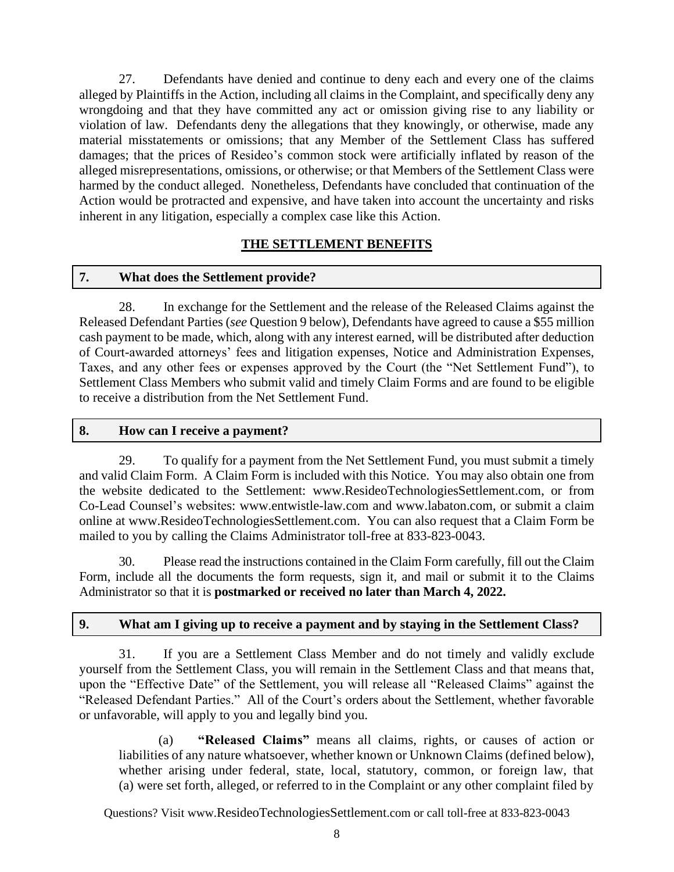27. Defendants have denied and continue to deny each and every one of the claims alleged by Plaintiffs in the Action, including all claims in the Complaint, and specifically deny any wrongdoing and that they have committed any act or omission giving rise to any liability or violation of law. Defendants deny the allegations that they knowingly, or otherwise, made any material misstatements or omissions; that any Member of the Settlement Class has suffered damages; that the prices of Resideo's common stock were artificially inflated by reason of the alleged misrepresentations, omissions, or otherwise; or that Members of the Settlement Class were harmed by the conduct alleged. Nonetheless, Defendants have concluded that continuation of the Action would be protracted and expensive, and have taken into account the uncertainty and risks inherent in any litigation, especially a complex case like this Action.

## **THE SETTLEMENT BENEFITS**

## **7. What does the Settlement provide?**

28. In exchange for the Settlement and the release of the Released Claims against the Released Defendant Parties (*see* Question 9 below), Defendants have agreed to cause a \$55 million cash payment to be made, which, along with any interest earned, will be distributed after deduction of Court-awarded attorneys' fees and litigation expenses, Notice and Administration Expenses, Taxes, and any other fees or expenses approved by the Court (the "Net Settlement Fund"), to Settlement Class Members who submit valid and timely Claim Forms and are found to be eligible to receive a distribution from the Net Settlement Fund.

#### **8. How can I receive a payment?**

29. To qualify for a payment from the Net Settlement Fund, you must submit a timely and valid Claim Form. A Claim Form is included with this Notice. You may also obtain one from the website dedicated to the Settlement: [www.ResideoTechnologiesSettlement.com,](https://nam11.safelinks.protection.outlook.com/?url=http%3A%2F%2Fwww.resideotechnologiessettlement.com%2F&data=04%7C01%7Cjenn.ventriglia%40jndla.com%7Ccdb3f3a09b434d54f8b808d961d03fdc%7Cb9f74a4089a449e899697842c4748a82%7C0%7C0%7C637648369327123152%7CUnknown%7CTWFpbGZsb3d8eyJWIjoiMC4wLjAwMDAiLCJQIjoiV2luMzIiLCJBTiI6Ik1haWwiLCJXVCI6Mn0%3D%7C1000&sdata=va8BDAcd02sY73IDXBTkaa9LZFWZUZgW6ulV7NygimA%3D&reserved=0) or from Co-Lead Counsel's websites: www.entwistle-law.com and www.labaton.com, or submit a claim online at [www.ResideoTechnologiesSettlement.com.](https://nam11.safelinks.protection.outlook.com/?url=http%3A%2F%2Fwww.resideotechnologiessettlement.com%2F&data=04%7C01%7Cjenn.ventriglia%40jndla.com%7Ccdb3f3a09b434d54f8b808d961d03fdc%7Cb9f74a4089a449e899697842c4748a82%7C0%7C0%7C637648369327123152%7CUnknown%7CTWFpbGZsb3d8eyJWIjoiMC4wLjAwMDAiLCJQIjoiV2luMzIiLCJBTiI6Ik1haWwiLCJXVCI6Mn0%3D%7C1000&sdata=va8BDAcd02sY73IDXBTkaa9LZFWZUZgW6ulV7NygimA%3D&reserved=0) You can also request that a Claim Form be mailed to you by calling the Claims Administrator toll-free at 833-823-0043.

30. Please read the instructions contained in the Claim Form carefully, fill out the Claim Form, include all the documents the form requests, sign it, and mail or submit it to the Claims Administrator so that it is **postmarked or received no later than March 4, 2022.**

## **9. What am I giving up to receive a payment and by staying in the Settlement Class?**

31. If you are a Settlement Class Member and do not timely and validly exclude yourself from the Settlement Class, you will remain in the Settlement Class and that means that, upon the "Effective Date" of the Settlement, you will release all "Released Claims" against the "Released Defendant Parties." All of the Court's orders about the Settlement, whether favorable or unfavorable, will apply to you and legally bind you.

(a) **"Released Claims"** means all claims, rights, or causes of action or liabilities of any nature whatsoever, whether known or Unknown Claims (defined below), whether arising under federal, state, local, statutory, common, or foreign law, that (a) were set forth, alleged, or referred to in the Complaint or any other complaint filed by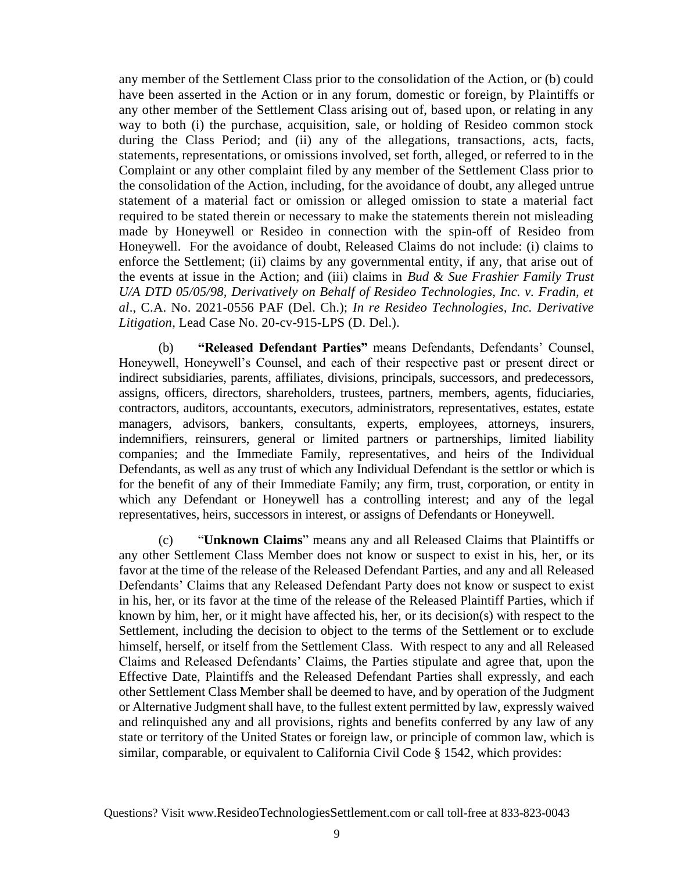any member of the Settlement Class prior to the consolidation of the Action, or (b) could have been asserted in the Action or in any forum, domestic or foreign, by Plaintiffs or any other member of the Settlement Class arising out of, based upon, or relating in any way to both (i) the purchase, acquisition, sale, or holding of Resideo common stock during the Class Period; and (ii) any of the allegations, transactions, acts, facts, statements, representations, or omissions involved, set forth, alleged, or referred to in the Complaint or any other complaint filed by any member of the Settlement Class prior to the consolidation of the Action, including, for the avoidance of doubt, any alleged untrue statement of a material fact or omission or alleged omission to state a material fact required to be stated therein or necessary to make the statements therein not misleading made by Honeywell or Resideo in connection with the spin-off of Resideo from Honeywell. For the avoidance of doubt, Released Claims do not include: (i) claims to enforce the Settlement; (ii) claims by any governmental entity, if any, that arise out of the events at issue in the Action; and (iii) claims in *Bud & Sue Frashier Family Trust U/A DTD 05/05/98, Derivatively on Behalf of Resideo Technologies, Inc. v. Fradin, et al*., C.A. No. 2021-0556 PAF (Del. Ch.); *In re Resideo Technologies, Inc. Derivative Litigation*, Lead Case No. 20-cv-915-LPS (D. Del.).

(b) **"Released Defendant Parties"** means Defendants, Defendants' Counsel, Honeywell, Honeywell's Counsel, and each of their respective past or present direct or indirect subsidiaries, parents, affiliates, divisions, principals, successors, and predecessors, assigns, officers, directors, shareholders, trustees, partners, members, agents, fiduciaries, contractors, auditors, accountants, executors, administrators, representatives, estates, estate managers, advisors, bankers, consultants, experts, employees, attorneys, insurers, indemnifiers, reinsurers, general or limited partners or partnerships, limited liability companies; and the Immediate Family, representatives, and heirs of the Individual Defendants, as well as any trust of which any Individual Defendant is the settlor or which is for the benefit of any of their Immediate Family; any firm, trust, corporation, or entity in which any Defendant or Honeywell has a controlling interest; and any of the legal representatives, heirs, successors in interest, or assigns of Defendants or Honeywell.

(c) "**Unknown Claims**" means any and all Released Claims that Plaintiffs or any other Settlement Class Member does not know or suspect to exist in his, her, or its favor at the time of the release of the Released Defendant Parties, and any and all Released Defendants' Claims that any Released Defendant Party does not know or suspect to exist in his, her, or its favor at the time of the release of the Released Plaintiff Parties, which if known by him, her, or it might have affected his, her, or its decision(s) with respect to the Settlement, including the decision to object to the terms of the Settlement or to exclude himself, herself, or itself from the Settlement Class. With respect to any and all Released Claims and Released Defendants' Claims, the Parties stipulate and agree that, upon the Effective Date, Plaintiffs and the Released Defendant Parties shall expressly, and each other Settlement Class Member shall be deemed to have, and by operation of the Judgment or Alternative Judgment shall have, to the fullest extent permitted by law, expressly waived and relinquished any and all provisions, rights and benefits conferred by any law of any state or territory of the United States or foreign law, or principle of common law, which is similar, comparable, or equivalent to California Civil Code § 1542, which provides:

Questions? Visit www.[ResideoTechnologiesSettlement](http://www._________________.com/).com or call toll-free at 833-823-0043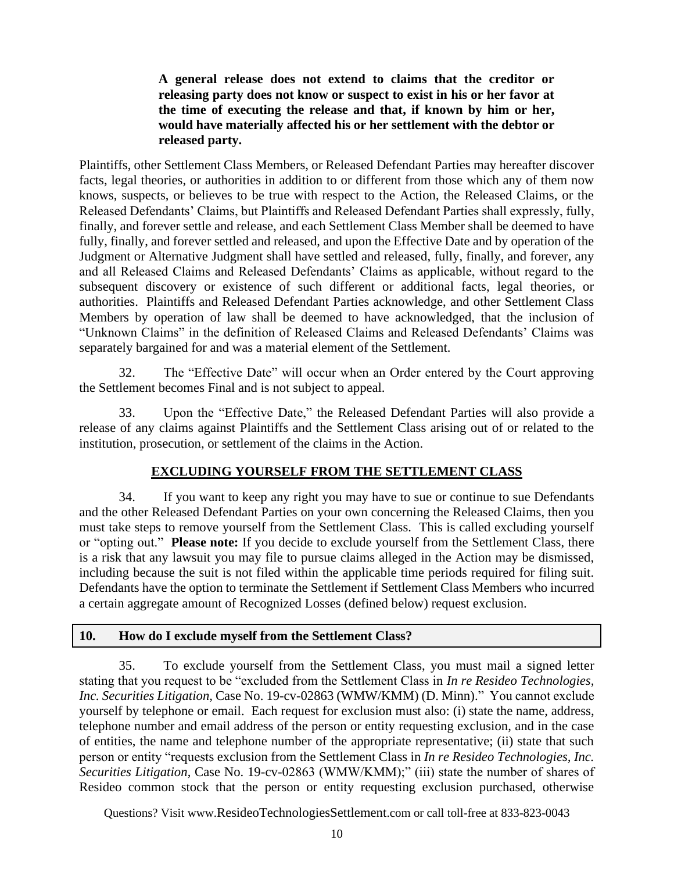**A general release does not extend to claims that the creditor or releasing party does not know or suspect to exist in his or her favor at the time of executing the release and that, if known by him or her, would have materially affected his or her settlement with the debtor or released party.**

Plaintiffs, other Settlement Class Members, or Released Defendant Parties may hereafter discover facts, legal theories, or authorities in addition to or different from those which any of them now knows, suspects, or believes to be true with respect to the Action, the Released Claims, or the Released Defendants' Claims, but Plaintiffs and Released Defendant Parties shall expressly, fully, finally, and forever settle and release, and each Settlement Class Member shall be deemed to have fully, finally, and forever settled and released, and upon the Effective Date and by operation of the Judgment or Alternative Judgment shall have settled and released, fully, finally, and forever, any and all Released Claims and Released Defendants' Claims as applicable, without regard to the subsequent discovery or existence of such different or additional facts, legal theories, or authorities. Plaintiffs and Released Defendant Parties acknowledge, and other Settlement Class Members by operation of law shall be deemed to have acknowledged, that the inclusion of "Unknown Claims" in the definition of Released Claims and Released Defendants' Claims was separately bargained for and was a material element of the Settlement.

32. The "Effective Date" will occur when an Order entered by the Court approving the Settlement becomes Final and is not subject to appeal.

33. Upon the "Effective Date," the Released Defendant Parties will also provide a release of any claims against Plaintiffs and the Settlement Class arising out of or related to the institution, prosecution, or settlement of the claims in the Action.

## **EXCLUDING YOURSELF FROM THE SETTLEMENT CLASS**

34. If you want to keep any right you may have to sue or continue to sue Defendants and the other Released Defendant Parties on your own concerning the Released Claims, then you must take steps to remove yourself from the Settlement Class. This is called excluding yourself or "opting out." **Please note:** If you decide to exclude yourself from the Settlement Class, there is a risk that any lawsuit you may file to pursue claims alleged in the Action may be dismissed, including because the suit is not filed within the applicable time periods required for filing suit. Defendants have the option to terminate the Settlement if Settlement Class Members who incurred a certain aggregate amount of Recognized Losses (defined below) request exclusion.

## **10. How do I exclude myself from the Settlement Class?**

35. To exclude yourself from the Settlement Class, you must mail a signed letter stating that you request to be "excluded from the Settlement Class in *In re Resideo Technologies, Inc. Securities Litigation,* Case No. 19-cv-02863 (WMW/KMM) (D. Minn)." You cannot exclude yourself by telephone or email. Each request for exclusion must also: (i) state the name, address, telephone number and email address of the person or entity requesting exclusion, and in the case of entities, the name and telephone number of the appropriate representative; (ii) state that such person or entity "requests exclusion from the Settlement Class in *In re Resideo Technologies, Inc. Securities Litigation*, Case No. 19-cv-02863 (WMW/KMM);" (iii) state the number of shares of Resideo common stock that the person or entity requesting exclusion purchased, otherwise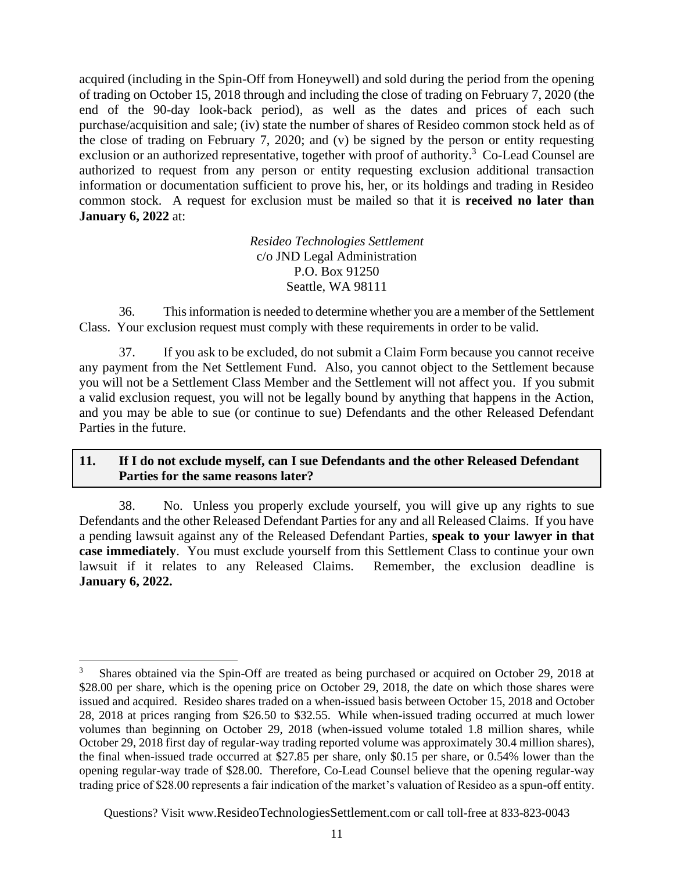acquired (including in the Spin-Off from Honeywell) and sold during the period from the opening of trading on October 15, 2018 through and including the close of trading on February 7, 2020 (the end of the 90-day look-back period), as well as the dates and prices of each such purchase/acquisition and sale; (iv) state the number of shares of Resideo common stock held as of the close of trading on February 7, 2020; and (v) be signed by the person or entity requesting exclusion or an authorized representative, together with proof of authority.<sup>3</sup> Co-Lead Counsel are authorized to request from any person or entity requesting exclusion additional transaction information or documentation sufficient to prove his, her, or its holdings and trading in Resideo common stock. A request for exclusion must be mailed so that it is **received no later than January 6, 2022** at:

> *Resideo Technologies Settlement* c/o JND Legal Administration P.O. Box 91250 Seattle, WA 98111

36. This information is needed to determine whether you are a member of the Settlement Class. Your exclusion request must comply with these requirements in order to be valid.

37. If you ask to be excluded, do not submit a Claim Form because you cannot receive any payment from the Net Settlement Fund. Also, you cannot object to the Settlement because you will not be a Settlement Class Member and the Settlement will not affect you. If you submit a valid exclusion request, you will not be legally bound by anything that happens in the Action, and you may be able to sue (or continue to sue) Defendants and the other Released Defendant Parties in the future.

## **11. If I do not exclude myself, can I sue Defendants and the other Released Defendant Parties for the same reasons later?**

38. No. Unless you properly exclude yourself, you will give up any rights to sue Defendants and the other Released Defendant Parties for any and all Released Claims. If you have a pending lawsuit against any of the Released Defendant Parties, **speak to your lawyer in that case immediately**. You must exclude yourself from this Settlement Class to continue your own lawsuit if it relates to any Released Claims. Remember, the exclusion deadline is **January 6, 2022.**

<sup>3</sup> Shares obtained via the Spin-Off are treated as being purchased or acquired on October 29, 2018 at \$28.00 per share, which is the opening price on October 29, 2018, the date on which those shares were issued and acquired. Resideo shares traded on a when-issued basis between October 15, 2018 and October 28, 2018 at prices ranging from \$26.50 to \$32.55. While when-issued trading occurred at much lower volumes than beginning on October 29, 2018 (when-issued volume totaled 1.8 million shares, while October 29, 2018 first day of regular-way trading reported volume was approximately 30.4 million shares), the final when-issued trade occurred at \$27.85 per share, only \$0.15 per share, or 0.54% lower than the opening regular-way trade of \$28.00. Therefore, Co-Lead Counsel believe that the opening regular-way trading price of \$28.00 represents a fair indication of the market's valuation of Resideo as a spun-off entity.

Questions? Visit www.[ResideoTechnologiesSettlement](http://www._________________.com/).com or call toll-free at 833-823-0043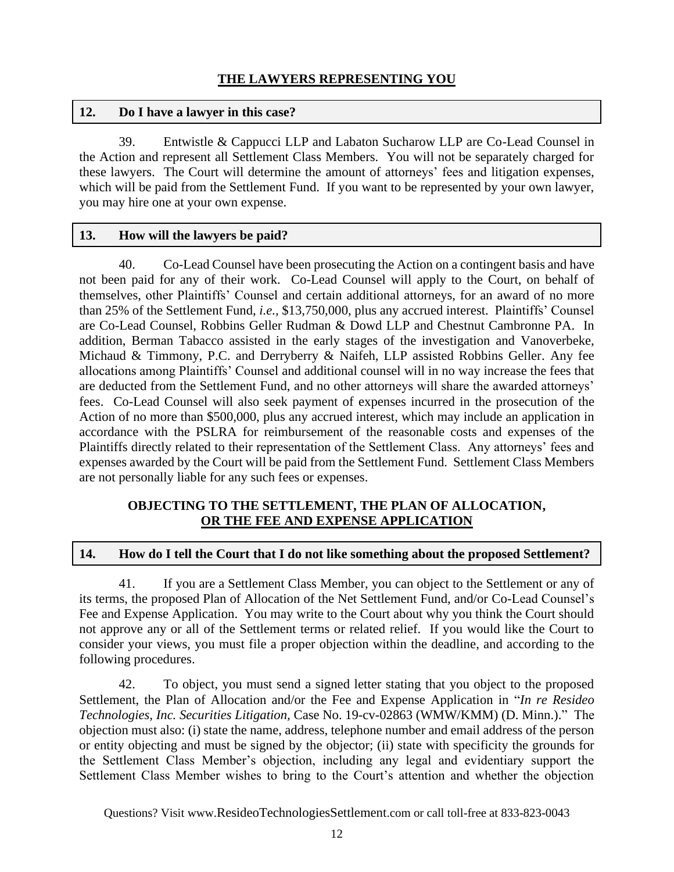## **12. Do I have a lawyer in this case?**

39. Entwistle & Cappucci LLP and Labaton Sucharow LLP are Co-Lead Counsel in the Action and represent all Settlement Class Members. You will not be separately charged for these lawyers. The Court will determine the amount of attorneys' fees and litigation expenses, which will be paid from the Settlement Fund. If you want to be represented by your own lawyer, you may hire one at your own expense.

## **13. How will the lawyers be paid?**

40. Co-Lead Counsel have been prosecuting the Action on a contingent basis and have not been paid for any of their work. Co-Lead Counsel will apply to the Court, on behalf of themselves, other Plaintiffs' Counsel and certain additional attorneys, for an award of no more than 25% of the Settlement Fund, *i.e.,* \$13,750,000, plus any accrued interest. Plaintiffs' Counsel are Co-Lead Counsel, Robbins Geller Rudman & Dowd LLP and Chestnut Cambronne PA. In addition, Berman Tabacco assisted in the early stages of the investigation and Vanoverbeke, Michaud & Timmony, P.C. and Derryberry & Naifeh, LLP assisted Robbins Geller. Any fee allocations among Plaintiffs' Counsel and additional counsel will in no way increase the fees that are deducted from the Settlement Fund, and no other attorneys will share the awarded attorneys' fees. Co-Lead Counsel will also seek payment of expenses incurred in the prosecution of the Action of no more than \$500,000, plus any accrued interest, which may include an application in accordance with the PSLRA for reimbursement of the reasonable costs and expenses of the Plaintiffs directly related to their representation of the Settlement Class. Any attorneys' fees and expenses awarded by the Court will be paid from the Settlement Fund. Settlement Class Members are not personally liable for any such fees or expenses.

## **OBJECTING TO THE SETTLEMENT, THE PLAN OF ALLOCATION, OR THE FEE AND EXPENSE APPLICATION**

## **14. How do I tell the Court that I do not like something about the proposed Settlement?**

41. If you are a Settlement Class Member, you can object to the Settlement or any of its terms, the proposed Plan of Allocation of the Net Settlement Fund, and/or Co-Lead Counsel's Fee and Expense Application. You may write to the Court about why you think the Court should not approve any or all of the Settlement terms or related relief. If you would like the Court to consider your views, you must file a proper objection within the deadline, and according to the following procedures.

42. To object, you must send a signed letter stating that you object to the proposed Settlement, the Plan of Allocation and/or the Fee and Expense Application in "*In re Resideo Technologies, Inc. Securities Litigation,* Case No. 19-cv-02863 (WMW/KMM) (D. Minn.)." The objection must also: (i) state the name, address, telephone number and email address of the person or entity objecting and must be signed by the objector; (ii) state with specificity the grounds for the Settlement Class Member's objection, including any legal and evidentiary support the Settlement Class Member wishes to bring to the Court's attention and whether the objection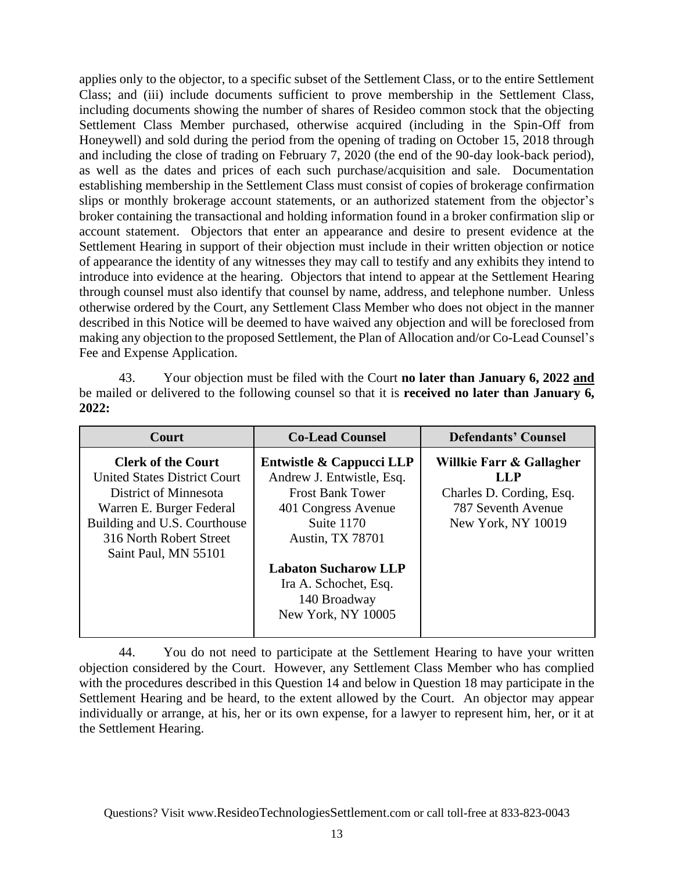applies only to the objector, to a specific subset of the Settlement Class, or to the entire Settlement Class; and (iii) include documents sufficient to prove membership in the Settlement Class, including documents showing the number of shares of Resideo common stock that the objecting Settlement Class Member purchased, otherwise acquired (including in the Spin-Off from Honeywell) and sold during the period from the opening of trading on October 15, 2018 through and including the close of trading on February 7, 2020 (the end of the 90-day look-back period), as well as the dates and prices of each such purchase/acquisition and sale. Documentation establishing membership in the Settlement Class must consist of copies of brokerage confirmation slips or monthly brokerage account statements, or an authorized statement from the objector's broker containing the transactional and holding information found in a broker confirmation slip or account statement. Objectors that enter an appearance and desire to present evidence at the Settlement Hearing in support of their objection must include in their written objection or notice of appearance the identity of any witnesses they may call to testify and any exhibits they intend to introduce into evidence at the hearing. Objectors that intend to appear at the Settlement Hearing through counsel must also identify that counsel by name, address, and telephone number. Unless otherwise ordered by the Court, any Settlement Class Member who does not object in the manner described in this Notice will be deemed to have waived any objection and will be foreclosed from making any objection to the proposed Settlement, the Plan of Allocation and/or Co-Lead Counsel's Fee and Expense Application.

43. Your objection must be filed with the Court **no later than January 6, 2022 and** be mailed or delivered to the following counsel so that it is **received no later than January 6, 2022:**

| Court                                                                                                                                                                                                    | <b>Co-Lead Counsel</b>                                                                                                                           | <b>Defendants' Counsel</b>                                                                              |  |
|----------------------------------------------------------------------------------------------------------------------------------------------------------------------------------------------------------|--------------------------------------------------------------------------------------------------------------------------------------------------|---------------------------------------------------------------------------------------------------------|--|
| <b>Clerk of the Court</b><br><b>United States District Court</b><br>District of Minnesota<br>Warren E. Burger Federal<br>Building and U.S. Courthouse<br>316 North Robert Street<br>Saint Paul, MN 55101 | Entwistle & Cappucci LLP<br>Andrew J. Entwistle, Esq.<br><b>Frost Bank Tower</b><br>401 Congress Avenue<br>Suite 1170<br><b>Austin, TX 78701</b> | Willkie Farr & Gallagher<br>LLP<br>Charles D. Cording, Esq.<br>787 Seventh Avenue<br>New York, NY 10019 |  |
|                                                                                                                                                                                                          | <b>Labaton Sucharow LLP</b><br>Ira A. Schochet, Esq.<br>140 Broadway<br>New York, NY 10005                                                       |                                                                                                         |  |

44. You do not need to participate at the Settlement Hearing to have your written objection considered by the Court. However, any Settlement Class Member who has complied with the procedures described in this Question 14 and below in Question 18 may participate in the Settlement Hearing and be heard, to the extent allowed by the Court. An objector may appear individually or arrange, at his, her or its own expense, for a lawyer to represent him, her, or it at the Settlement Hearing.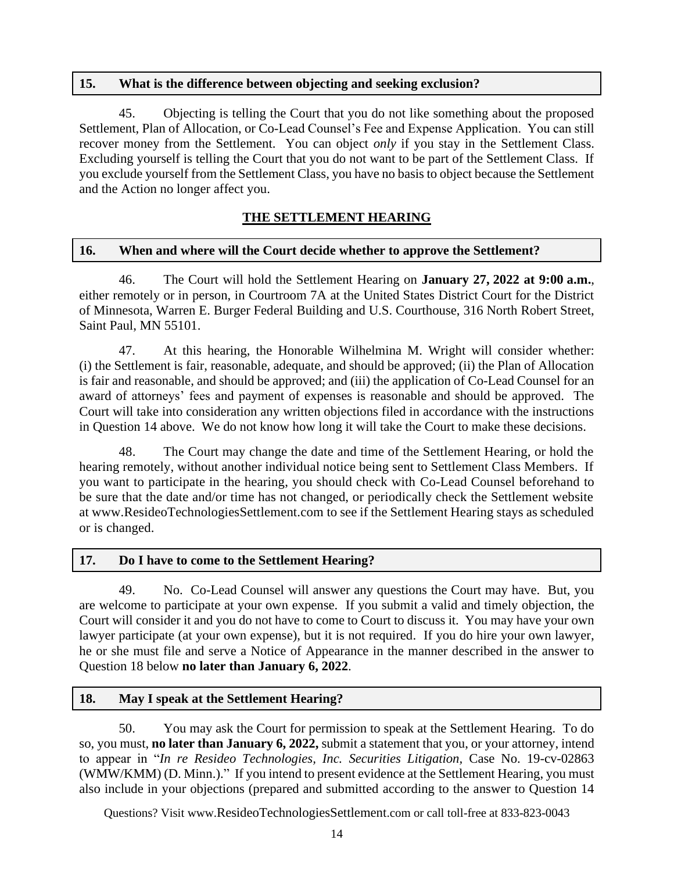#### **15. What is the difference between objecting and seeking exclusion?**

45. Objecting is telling the Court that you do not like something about the proposed Settlement, Plan of Allocation, or Co-Lead Counsel's Fee and Expense Application. You can still recover money from the Settlement. You can object *only* if you stay in the Settlement Class. Excluding yourself is telling the Court that you do not want to be part of the Settlement Class. If you exclude yourself from the Settlement Class, you have no basis to object because the Settlement and the Action no longer affect you.

## **THE SETTLEMENT HEARING**

#### **16. When and where will the Court decide whether to approve the Settlement?**

46. The Court will hold the Settlement Hearing on **January 27, 2022 at 9:00 a.m.**, either remotely or in person, in Courtroom 7A at the United States District Court for the District of Minnesota, Warren E. Burger Federal Building and U.S. Courthouse, 316 North Robert Street, Saint Paul, MN 55101.

47. At this hearing, the Honorable Wilhelmina M. Wright will consider whether: (i) the Settlement is fair, reasonable, adequate, and should be approved; (ii) the Plan of Allocation is fair and reasonable, and should be approved; and (iii) the application of Co-Lead Counsel for an award of attorneys' fees and payment of expenses is reasonable and should be approved. The Court will take into consideration any written objections filed in accordance with the instructions in Question 14 above. We do not know how long it will take the Court to make these decisions.

48. The Court may change the date and time of the Settlement Hearing, or hold the hearing remotely, without another individual notice being sent to Settlement Class Members. If you want to participate in the hearing, you should check with Co-Lead Counsel beforehand to be sure that the date and/or time has not changed, or periodically check the Settlement website at [www.ResideoTechnologiesSettlement.com](https://nam11.safelinks.protection.outlook.com/?url=http%3A%2F%2Fwww.resideotechnologiessettlement.com%2F&data=04%7C01%7Cjenn.ventriglia%40jndla.com%7Ccdb3f3a09b434d54f8b808d961d03fdc%7Cb9f74a4089a449e899697842c4748a82%7C0%7C0%7C637648369327123152%7CUnknown%7CTWFpbGZsb3d8eyJWIjoiMC4wLjAwMDAiLCJQIjoiV2luMzIiLCJBTiI6Ik1haWwiLCJXVCI6Mn0%3D%7C1000&sdata=va8BDAcd02sY73IDXBTkaa9LZFWZUZgW6ulV7NygimA%3D&reserved=0) to see if the Settlement Hearing stays as scheduled or is changed.

## **17. Do I have to come to the Settlement Hearing?**

49. No. Co-Lead Counsel will answer any questions the Court may have. But, you are welcome to participate at your own expense. If you submit a valid and timely objection, the Court will consider it and you do not have to come to Court to discuss it. You may have your own lawyer participate (at your own expense), but it is not required. If you do hire your own lawyer, he or she must file and serve a Notice of Appearance in the manner described in the answer to Question 18 below **no later than January 6, 2022**.

#### **18. May I speak at the Settlement Hearing?**

50. You may ask the Court for permission to speak at the Settlement Hearing. To do so, you must, **no later than January 6, 2022,** submit a statement that you, or your attorney, intend to appear in "*In re Resideo Technologies, Inc. Securities Litigation,* Case No. 19-cv-02863 (WMW/KMM) (D. Minn.)." If you intend to present evidence at the Settlement Hearing, you must also include in your objections (prepared and submitted according to the answer to Question 14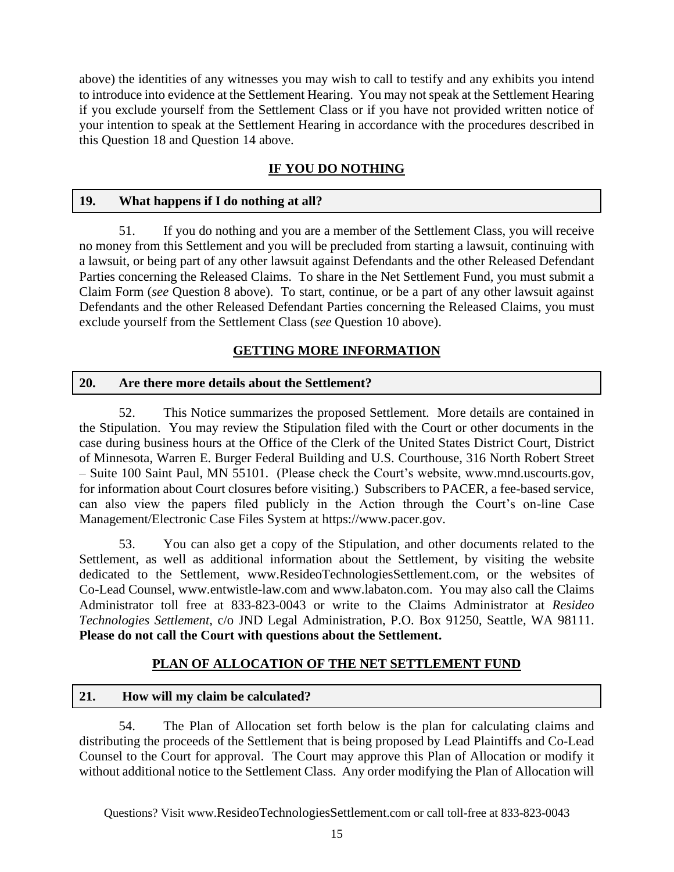above) the identities of any witnesses you may wish to call to testify and any exhibits you intend to introduce into evidence at the Settlement Hearing. You may not speak at the Settlement Hearing if you exclude yourself from the Settlement Class or if you have not provided written notice of your intention to speak at the Settlement Hearing in accordance with the procedures described in this Question 18 and Question 14 above.

# **IF YOU DO NOTHING**

#### **19. What happens if I do nothing at all?**

51. If you do nothing and you are a member of the Settlement Class, you will receive no money from this Settlement and you will be precluded from starting a lawsuit, continuing with a lawsuit, or being part of any other lawsuit against Defendants and the other Released Defendant Parties concerning the Released Claims. To share in the Net Settlement Fund, you must submit a Claim Form (*see* Question 8 above). To start, continue, or be a part of any other lawsuit against Defendants and the other Released Defendant Parties concerning the Released Claims, you must exclude yourself from the Settlement Class (*see* Question 10 above).

## **GETTING MORE INFORMATION**

#### **20. Are there more details about the Settlement?**

52. This Notice summarizes the proposed Settlement. More details are contained in the Stipulation. You may review the Stipulation filed with the Court or other documents in the case during business hours at the Office of the Clerk of the United States District Court, District of Minnesota, Warren E. Burger Federal Building and U.S. Courthouse, 316 North Robert Street – Suite 100 Saint Paul, MN 55101. (Please check the Court's website, www.mnd.uscourts.gov, for information about Court closures before visiting.) Subscribers to PACER, a fee-based service, can also view the papers filed publicly in the Action through the Court's on-line Case Management/Electronic Case Files System at https://www.pacer.gov.

53. You can also get a copy of the Stipulation, and other documents related to the Settlement, as well as additional information about the Settlement, by visiting the website dedicated to the Settlement, [www.ResideoTechnologiesSettlement.com,](https://nam11.safelinks.protection.outlook.com/?url=http%3A%2F%2Fwww.resideotechnologiessettlement.com%2F&data=04%7C01%7Cjenn.ventriglia%40jndla.com%7Ccdb3f3a09b434d54f8b808d961d03fdc%7Cb9f74a4089a449e899697842c4748a82%7C0%7C0%7C637648369327123152%7CUnknown%7CTWFpbGZsb3d8eyJWIjoiMC4wLjAwMDAiLCJQIjoiV2luMzIiLCJBTiI6Ik1haWwiLCJXVCI6Mn0%3D%7C1000&sdata=va8BDAcd02sY73IDXBTkaa9LZFWZUZgW6ulV7NygimA%3D&reserved=0) or the websites of Co-Lead Counsel, www.entwistle-law.com and www.labaton.com. You may also call the Claims Administrator toll free at 833-823-0043 or write to the Claims Administrator at *Resideo Technologies Settlement,* c/o JND Legal Administration, P.O. Box 91250, Seattle, WA 98111. **Please do not call the Court with questions about the Settlement.**

# **PLAN OF ALLOCATION OF THE NET SETTLEMENT FUND**

## **21. How will my claim be calculated?**

54. The Plan of Allocation set forth below is the plan for calculating claims and distributing the proceeds of the Settlement that is being proposed by Lead Plaintiffs and Co-Lead Counsel to the Court for approval. The Court may approve this Plan of Allocation or modify it without additional notice to the Settlement Class. Any order modifying the Plan of Allocation will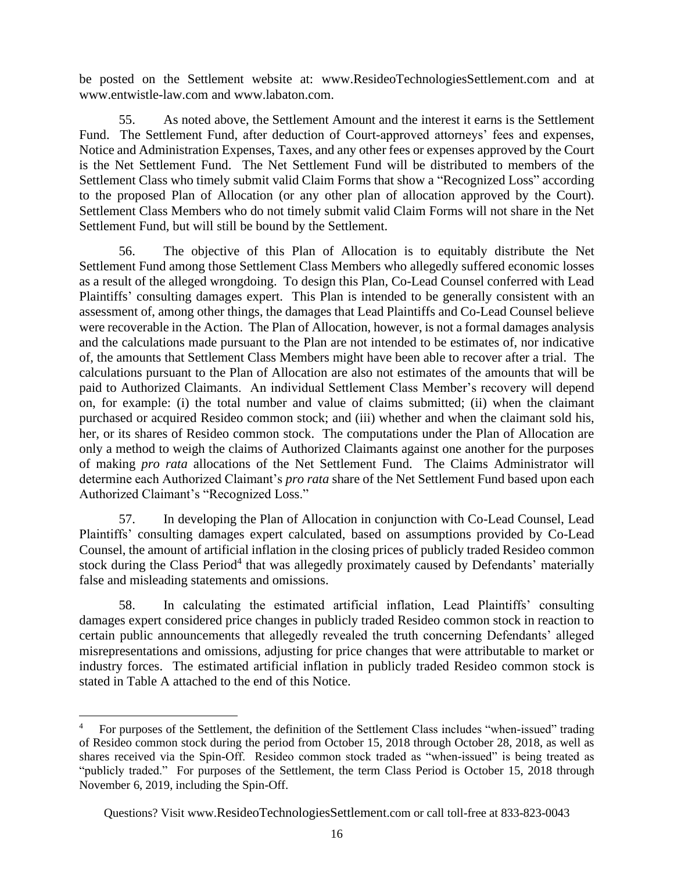be posted on the Settlement website at: [www.ResideoTechnologiesSettlement.com](https://nam11.safelinks.protection.outlook.com/?url=http%3A%2F%2Fwww.resideotechnologiessettlement.com%2F&data=04%7C01%7Cjenn.ventriglia%40jndla.com%7Ccdb3f3a09b434d54f8b808d961d03fdc%7Cb9f74a4089a449e899697842c4748a82%7C0%7C0%7C637648369327123152%7CUnknown%7CTWFpbGZsb3d8eyJWIjoiMC4wLjAwMDAiLCJQIjoiV2luMzIiLCJBTiI6Ik1haWwiLCJXVCI6Mn0%3D%7C1000&sdata=va8BDAcd02sY73IDXBTkaa9LZFWZUZgW6ulV7NygimA%3D&reserved=0) and at www.entwistle-law.com and www.labaton.com.

55. As noted above, the Settlement Amount and the interest it earns is the Settlement Fund. The Settlement Fund, after deduction of Court-approved attorneys' fees and expenses, Notice and Administration Expenses, Taxes, and any other fees or expenses approved by the Court is the Net Settlement Fund. The Net Settlement Fund will be distributed to members of the Settlement Class who timely submit valid Claim Forms that show a "Recognized Loss" according to the proposed Plan of Allocation (or any other plan of allocation approved by the Court). Settlement Class Members who do not timely submit valid Claim Forms will not share in the Net Settlement Fund, but will still be bound by the Settlement.

56. The objective of this Plan of Allocation is to equitably distribute the Net Settlement Fund among those Settlement Class Members who allegedly suffered economic losses as a result of the alleged wrongdoing. To design this Plan, Co-Lead Counsel conferred with Lead Plaintiffs' consulting damages expert. This Plan is intended to be generally consistent with an assessment of, among other things, the damages that Lead Plaintiffs and Co-Lead Counsel believe were recoverable in the Action. The Plan of Allocation, however, is not a formal damages analysis and the calculations made pursuant to the Plan are not intended to be estimates of, nor indicative of, the amounts that Settlement Class Members might have been able to recover after a trial. The calculations pursuant to the Plan of Allocation are also not estimates of the amounts that will be paid to Authorized Claimants. An individual Settlement Class Member's recovery will depend on, for example: (i) the total number and value of claims submitted; (ii) when the claimant purchased or acquired Resideo common stock; and (iii) whether and when the claimant sold his, her, or its shares of Resideo common stock. The computations under the Plan of Allocation are only a method to weigh the claims of Authorized Claimants against one another for the purposes of making *pro rata* allocations of the Net Settlement Fund. The Claims Administrator will determine each Authorized Claimant's *pro rata* share of the Net Settlement Fund based upon each Authorized Claimant's "Recognized Loss."

57. In developing the Plan of Allocation in conjunction with Co-Lead Counsel, Lead Plaintiffs' consulting damages expert calculated, based on assumptions provided by Co-Lead Counsel, the amount of artificial inflation in the closing prices of publicly traded Resideo common stock during the Class Period<sup>4</sup> that was allegedly proximately caused by Defendants' materially false and misleading statements and omissions.

58. In calculating the estimated artificial inflation, Lead Plaintiffs' consulting damages expert considered price changes in publicly traded Resideo common stock in reaction to certain public announcements that allegedly revealed the truth concerning Defendants' alleged misrepresentations and omissions, adjusting for price changes that were attributable to market or industry forces. The estimated artificial inflation in publicly traded Resideo common stock is stated in Table A attached to the end of this Notice.

<sup>4</sup> For purposes of the Settlement, the definition of the Settlement Class includes "when-issued" trading of Resideo common stock during the period from October 15, 2018 through October 28, 2018, as well as shares received via the Spin-Off. Resideo common stock traded as "when-issued" is being treated as "publicly traded." For purposes of the Settlement, the term Class Period is October 15, 2018 through November 6, 2019, including the Spin-Off.

Questions? Visit www.[ResideoTechnologiesSettlement](http://www._________________.com/).com or call toll-free at 833-823-0043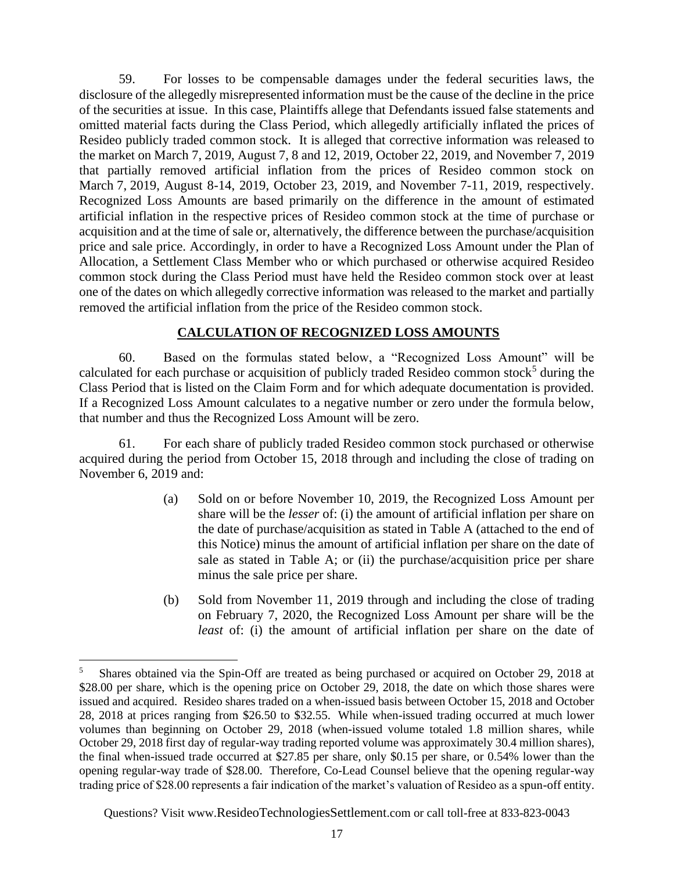59. For losses to be compensable damages under the federal securities laws, the disclosure of the allegedly misrepresented information must be the cause of the decline in the price of the securities at issue. In this case, Plaintiffs allege that Defendants issued false statements and omitted material facts during the Class Period, which allegedly artificially inflated the prices of Resideo publicly traded common stock. It is alleged that corrective information was released to the market on March 7, 2019, August 7, 8 and 12, 2019, October 22, 2019, and November 7, 2019 that partially removed artificial inflation from the prices of Resideo common stock on March 7, 2019, August 8-14, 2019, October 23, 2019, and November 7-11, 2019, respectively. Recognized Loss Amounts are based primarily on the difference in the amount of estimated artificial inflation in the respective prices of Resideo common stock at the time of purchase or acquisition and at the time of sale or, alternatively, the difference between the purchase/acquisition price and sale price. Accordingly, in order to have a Recognized Loss Amount under the Plan of Allocation, a Settlement Class Member who or which purchased or otherwise acquired Resideo common stock during the Class Period must have held the Resideo common stock over at least one of the dates on which allegedly corrective information was released to the market and partially removed the artificial inflation from the price of the Resideo common stock.

#### **CALCULATION OF RECOGNIZED LOSS AMOUNTS**

60. Based on the formulas stated below, a "Recognized Loss Amount" will be calculated for each purchase or acquisition of publicly traded Resideo common stock<sup>5</sup> during the Class Period that is listed on the Claim Form and for which adequate documentation is provided. If a Recognized Loss Amount calculates to a negative number or zero under the formula below, that number and thus the Recognized Loss Amount will be zero.

61. For each share of publicly traded Resideo common stock purchased or otherwise acquired during the period from October 15, 2018 through and including the close of trading on November 6, 2019 and:

- (a) Sold on or before November 10, 2019, the Recognized Loss Amount per share will be the *lesser* of: (i) the amount of artificial inflation per share on the date of purchase/acquisition as stated in Table A (attached to the end of this Notice) minus the amount of artificial inflation per share on the date of sale as stated in Table A; or (ii) the purchase/acquisition price per share minus the sale price per share.
- (b) Sold from November 11, 2019 through and including the close of trading on February 7, 2020, the Recognized Loss Amount per share will be the *least* of: (i) the amount of artificial inflation per share on the date of

<sup>5</sup> Shares obtained via the Spin-Off are treated as being purchased or acquired on October 29, 2018 at \$28.00 per share, which is the opening price on October 29, 2018, the date on which those shares were issued and acquired. Resideo shares traded on a when-issued basis between October 15, 2018 and October 28, 2018 at prices ranging from \$26.50 to \$32.55. While when-issued trading occurred at much lower volumes than beginning on October 29, 2018 (when-issued volume totaled 1.8 million shares, while October 29, 2018 first day of regular-way trading reported volume was approximately 30.4 million shares), the final when-issued trade occurred at \$27.85 per share, only \$0.15 per share, or 0.54% lower than the opening regular-way trade of \$28.00. Therefore, Co-Lead Counsel believe that the opening regular-way trading price of \$28.00 represents a fair indication of the market's valuation of Resideo as a spun-off entity.

Questions? Visit www.[ResideoTechnologiesSettlement](http://www._________________.com/).com or call toll-free at 833-823-0043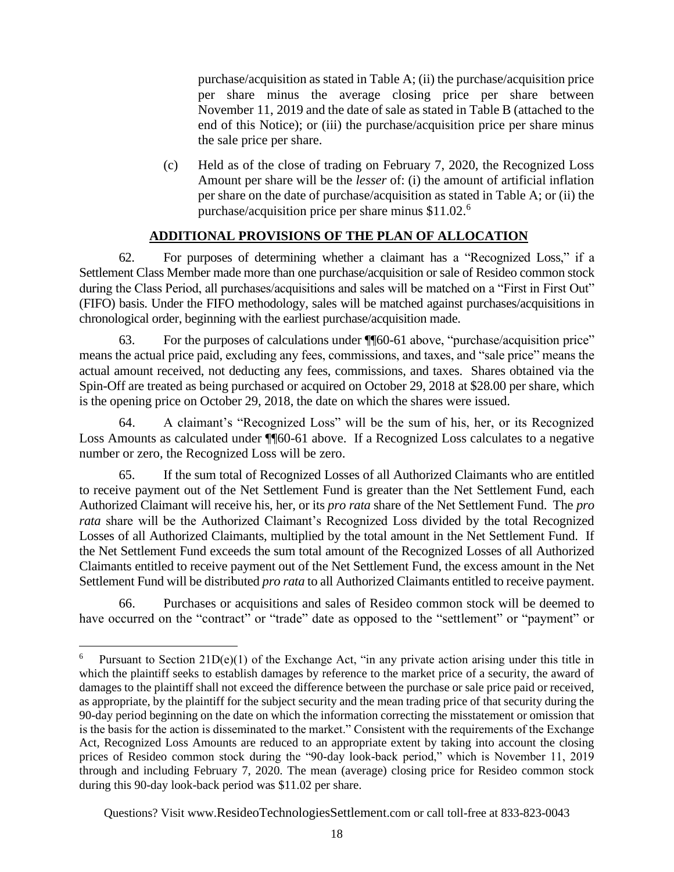purchase/acquisition as stated in Table A; (ii) the purchase/acquisition price per share minus the average closing price per share between November 11, 2019 and the date of sale as stated in Table B (attached to the end of this Notice); or (iii) the purchase/acquisition price per share minus the sale price per share.

(c) Held as of the close of trading on February 7, 2020, the Recognized Loss Amount per share will be the *lesser* of: (i) the amount of artificial inflation per share on the date of purchase/acquisition as stated in Table A; or (ii) the purchase/acquisition price per share minus \$11.02.<sup>6</sup>

## **ADDITIONAL PROVISIONS OF THE PLAN OF ALLOCATION**

62. For purposes of determining whether a claimant has a "Recognized Loss," if a Settlement Class Member made more than one purchase/acquisition or sale of Resideo common stock during the Class Period, all purchases/acquisitions and sales will be matched on a "First in First Out" (FIFO) basis. Under the FIFO methodology, sales will be matched against purchases/acquisitions in chronological order, beginning with the earliest purchase/acquisition made.

63. For the purposes of calculations under ¶¶60-61 above, "purchase/acquisition price" means the actual price paid, excluding any fees, commissions, and taxes, and "sale price" means the actual amount received, not deducting any fees, commissions, and taxes. Shares obtained via the Spin-Off are treated as being purchased or acquired on October 29, 2018 at \$28.00 per share, which is the opening price on October 29, 2018, the date on which the shares were issued.

64. A claimant's "Recognized Loss" will be the sum of his, her, or its Recognized Loss Amounts as calculated under  $\P$  $60$ -61 above. If a Recognized Loss calculates to a negative number or zero, the Recognized Loss will be zero.

65. If the sum total of Recognized Losses of all Authorized Claimants who are entitled to receive payment out of the Net Settlement Fund is greater than the Net Settlement Fund, each Authorized Claimant will receive his, her, or its *pro rata* share of the Net Settlement Fund. The *pro rata* share will be the Authorized Claimant's Recognized Loss divided by the total Recognized Losses of all Authorized Claimants, multiplied by the total amount in the Net Settlement Fund. If the Net Settlement Fund exceeds the sum total amount of the Recognized Losses of all Authorized Claimants entitled to receive payment out of the Net Settlement Fund, the excess amount in the Net Settlement Fund will be distributed *pro rata* to all Authorized Claimants entitled to receive payment.

66. Purchases or acquisitions and sales of Resideo common stock will be deemed to have occurred on the "contract" or "trade" date as opposed to the "settlement" or "payment" or

Pursuant to Section  $21D(e)(1)$  of the Exchange Act, "in any private action arising under this title in which the plaintiff seeks to establish damages by reference to the market price of a security, the award of damages to the plaintiff shall not exceed the difference between the purchase or sale price paid or received, as appropriate, by the plaintiff for the subject security and the mean trading price of that security during the 90-day period beginning on the date on which the information correcting the misstatement or omission that is the basis for the action is disseminated to the market." Consistent with the requirements of the Exchange Act, Recognized Loss Amounts are reduced to an appropriate extent by taking into account the closing prices of Resideo common stock during the "90-day look-back period," which is November 11, 2019 through and including February 7, 2020. The mean (average) closing price for Resideo common stock during this 90-day look-back period was \$11.02 per share.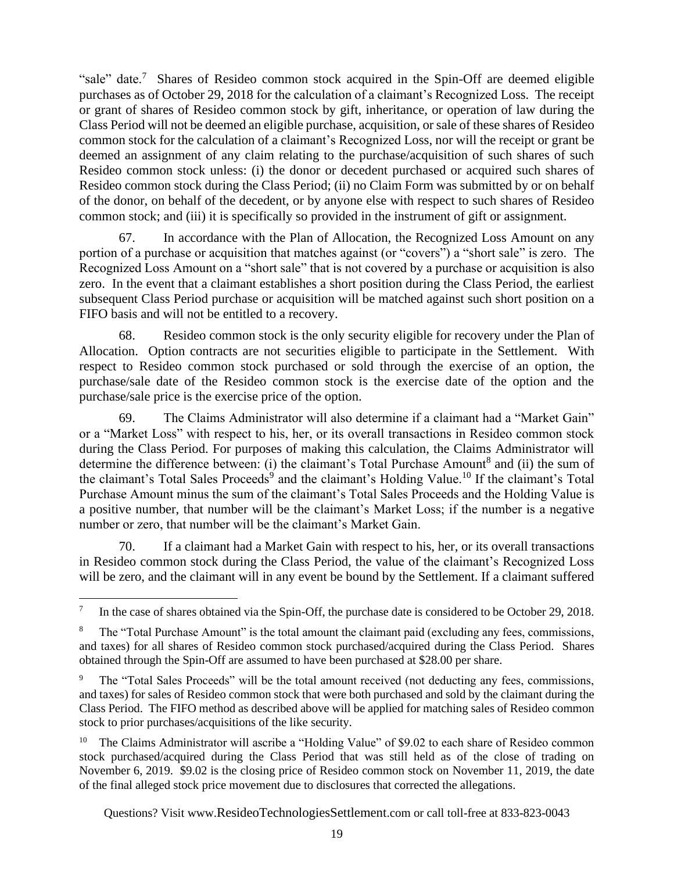"sale" date.<sup>7</sup> Shares of Resideo common stock acquired in the Spin-Off are deemed eligible purchases as of October 29, 2018 for the calculation of a claimant's Recognized Loss. The receipt or grant of shares of Resideo common stock by gift, inheritance, or operation of law during the Class Period will not be deemed an eligible purchase, acquisition, or sale of these shares of Resideo common stock for the calculation of a claimant's Recognized Loss, nor will the receipt or grant be deemed an assignment of any claim relating to the purchase/acquisition of such shares of such Resideo common stock unless: (i) the donor or decedent purchased or acquired such shares of Resideo common stock during the Class Period; (ii) no Claim Form was submitted by or on behalf of the donor, on behalf of the decedent, or by anyone else with respect to such shares of Resideo common stock; and (iii) it is specifically so provided in the instrument of gift or assignment.

67. In accordance with the Plan of Allocation, the Recognized Loss Amount on any portion of a purchase or acquisition that matches against (or "covers") a "short sale" is zero. The Recognized Loss Amount on a "short sale" that is not covered by a purchase or acquisition is also zero. In the event that a claimant establishes a short position during the Class Period, the earliest subsequent Class Period purchase or acquisition will be matched against such short position on a FIFO basis and will not be entitled to a recovery.

68. Resideo common stock is the only security eligible for recovery under the Plan of Allocation. Option contracts are not securities eligible to participate in the Settlement. With respect to Resideo common stock purchased or sold through the exercise of an option, the purchase/sale date of the Resideo common stock is the exercise date of the option and the purchase/sale price is the exercise price of the option.

69. The Claims Administrator will also determine if a claimant had a "Market Gain" or a "Market Loss" with respect to his, her, or its overall transactions in Resideo common stock during the Class Period. For purposes of making this calculation, the Claims Administrator will determine the difference between: (i) the claimant's Total Purchase Amount<sup>8</sup> and (ii) the sum of the claimant's Total Sales Proceeds<sup>9</sup> and the claimant's Holding Value.<sup>10</sup> If the claimant's Total Purchase Amount minus the sum of the claimant's Total Sales Proceeds and the Holding Value is a positive number, that number will be the claimant's Market Loss; if the number is a negative number or zero, that number will be the claimant's Market Gain.

70. If a claimant had a Market Gain with respect to his, her, or its overall transactions in Resideo common stock during the Class Period, the value of the claimant's Recognized Loss will be zero, and the claimant will in any event be bound by the Settlement. If a claimant suffered

<sup>7</sup> In the case of shares obtained via the Spin-Off, the purchase date is considered to be October 29, 2018.

<sup>&</sup>lt;sup>8</sup> The "Total Purchase Amount" is the total amount the claimant paid (excluding any fees, commissions, and taxes) for all shares of Resideo common stock purchased/acquired during the Class Period. Shares obtained through the Spin-Off are assumed to have been purchased at \$28.00 per share.

<sup>&</sup>lt;sup>9</sup> The "Total Sales Proceeds" will be the total amount received (not deducting any fees, commissions, and taxes) for sales of Resideo common stock that were both purchased and sold by the claimant during the Class Period. The FIFO method as described above will be applied for matching sales of Resideo common stock to prior purchases/acquisitions of the like security.

<sup>&</sup>lt;sup>10</sup> The Claims Administrator will ascribe a "Holding Value" of \$9.02 to each share of Resideo common stock purchased/acquired during the Class Period that was still held as of the close of trading on November 6, 2019. \$9.02 is the closing price of Resideo common stock on November 11, 2019, the date of the final alleged stock price movement due to disclosures that corrected the allegations.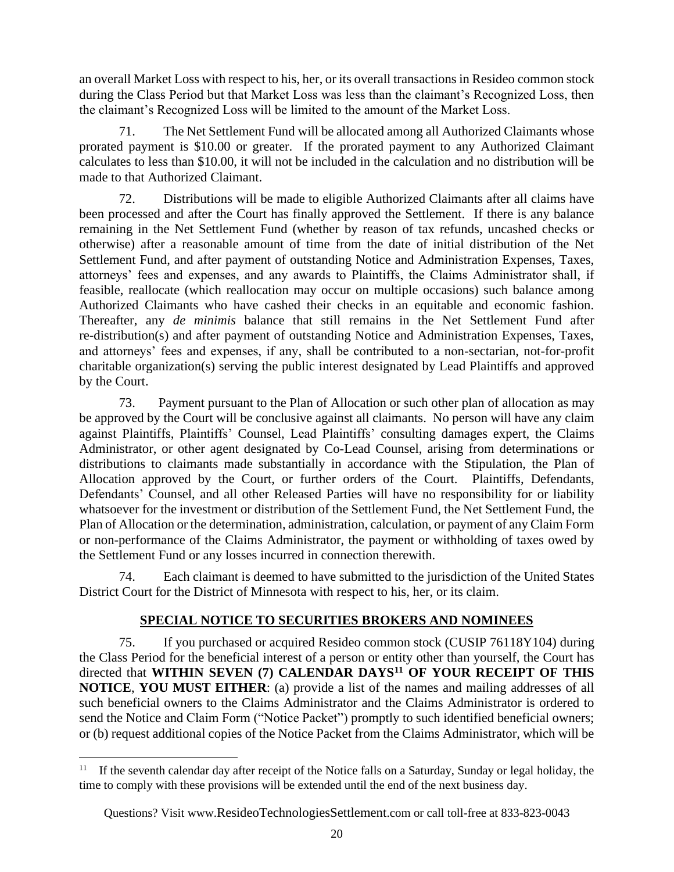an overall Market Loss with respect to his, her, or its overall transactions in Resideo common stock during the Class Period but that Market Loss was less than the claimant's Recognized Loss, then the claimant's Recognized Loss will be limited to the amount of the Market Loss.

71. The Net Settlement Fund will be allocated among all Authorized Claimants whose prorated payment is \$10.00 or greater. If the prorated payment to any Authorized Claimant calculates to less than \$10.00, it will not be included in the calculation and no distribution will be made to that Authorized Claimant.

72. Distributions will be made to eligible Authorized Claimants after all claims have been processed and after the Court has finally approved the Settlement. If there is any balance remaining in the Net Settlement Fund (whether by reason of tax refunds, uncashed checks or otherwise) after a reasonable amount of time from the date of initial distribution of the Net Settlement Fund, and after payment of outstanding Notice and Administration Expenses, Taxes, attorneys' fees and expenses, and any awards to Plaintiffs, the Claims Administrator shall, if feasible, reallocate (which reallocation may occur on multiple occasions) such balance among Authorized Claimants who have cashed their checks in an equitable and economic fashion. Thereafter, any *de minimis* balance that still remains in the Net Settlement Fund after re-distribution(s) and after payment of outstanding Notice and Administration Expenses, Taxes, and attorneys' fees and expenses, if any, shall be contributed to a non-sectarian, not-for-profit charitable organization(s) serving the public interest designated by Lead Plaintiffs and approved by the Court.

73. Payment pursuant to the Plan of Allocation or such other plan of allocation as may be approved by the Court will be conclusive against all claimants. No person will have any claim against Plaintiffs, Plaintiffs' Counsel, Lead Plaintiffs' consulting damages expert, the Claims Administrator, or other agent designated by Co-Lead Counsel, arising from determinations or distributions to claimants made substantially in accordance with the Stipulation, the Plan of Allocation approved by the Court, or further orders of the Court. Plaintiffs, Defendants, Defendants' Counsel, and all other Released Parties will have no responsibility for or liability whatsoever for the investment or distribution of the Settlement Fund, the Net Settlement Fund, the Plan of Allocation or the determination, administration, calculation, or payment of any Claim Form or non-performance of the Claims Administrator, the payment or withholding of taxes owed by the Settlement Fund or any losses incurred in connection therewith.

74. Each claimant is deemed to have submitted to the jurisdiction of the United States District Court for the District of Minnesota with respect to his, her, or its claim.

# **SPECIAL NOTICE TO SECURITIES BROKERS AND NOMINEES**

75. If you purchased or acquired Resideo common stock (CUSIP 76118Y104) during the Class Period for the beneficial interest of a person or entity other than yourself, the Court has directed that **WITHIN SEVEN (7) CALENDAR DAYS<sup>11</sup> OF YOUR RECEIPT OF THIS NOTICE**, **YOU MUST EITHER**: (a) provide a list of the names and mailing addresses of all such beneficial owners to the Claims Administrator and the Claims Administrator is ordered to send the Notice and Claim Form ("Notice Packet") promptly to such identified beneficial owners; or (b) request additional copies of the Notice Packet from the Claims Administrator, which will be

<sup>&</sup>lt;sup>11</sup> If the seventh calendar day after receipt of the Notice falls on a Saturday, Sunday or legal holiday, the time to comply with these provisions will be extended until the end of the next business day.

Questions? Visit www.[ResideoTechnologiesSettlement](http://www._________________.com/).com or call toll-free at 833-823-0043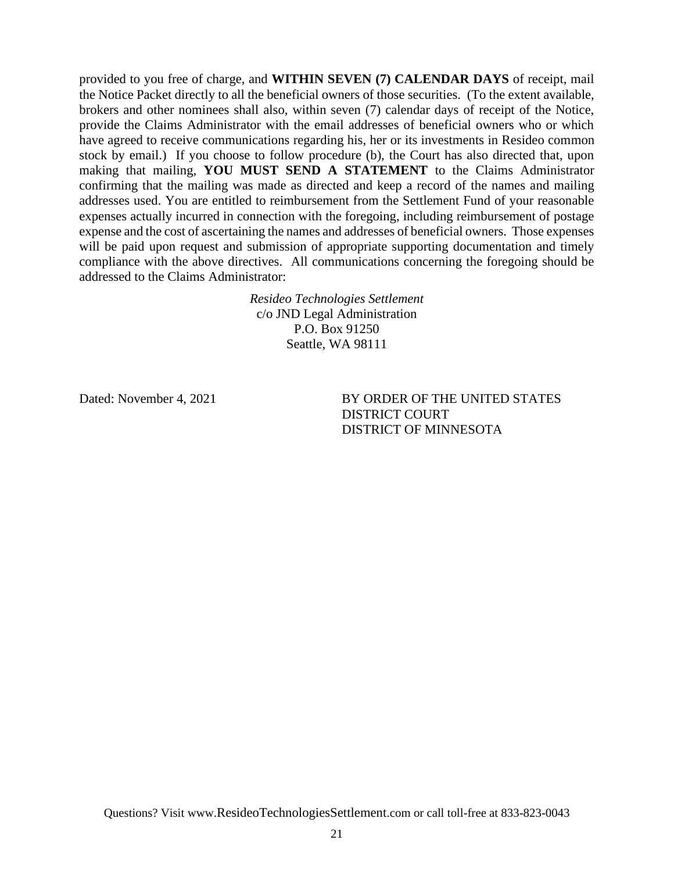provided to you free of charge, and **WITHIN SEVEN (7) CALENDAR DAYS** of receipt, mail the Notice Packet directly to all the beneficial owners of those securities. (To the extent available, brokers and other nominees shall also, within seven (7) calendar days of receipt of the Notice, provide the Claims Administrator with the email addresses of beneficial owners who or which have agreed to receive communications regarding his, her or its investments in Resideo common stock by email.) If you choose to follow procedure (b), the Court has also directed that, upon making that mailing, **YOU MUST SEND A STATEMENT** to the Claims Administrator confirming that the mailing was made as directed and keep a record of the names and mailing addresses used. You are entitled to reimbursement from the Settlement Fund of your reasonable expenses actually incurred in connection with the foregoing, including reimbursement of postage expense and the cost of ascertaining the names and addresses of beneficial owners. Those expenses will be paid upon request and submission of appropriate supporting documentation and timely compliance with the above directives. All communications concerning the foregoing should be addressed to the Claims Administrator:

> *Resideo Technologies Settlement* c/o JND Legal Administration P.O. Box 91250 Seattle, WA 98111

Dated: November 4, 2021 BY ORDER OF THE UNITED STATES DISTRICT COURT DISTRICT OF MINNESOTA